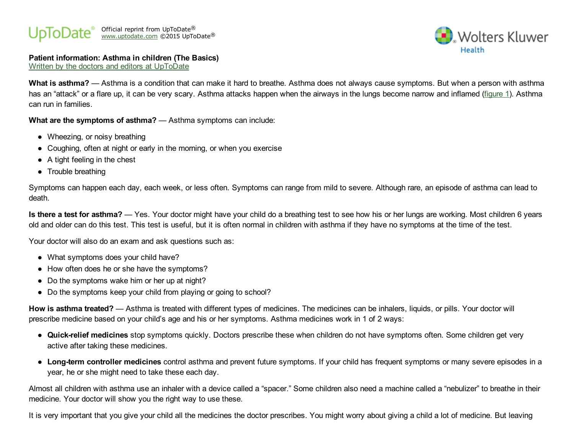#### Official reprint from UpToDate [www.uptodate.com](http://www.uptodate.com/) ©2015 UpToDate ® ®



## Patient information: Asthma in children (The Basics)

Written by the doctors and editors at [UpToDate](http://www.uptodate.com/contents/authors-and-editors/patient-information)

What is asthma? — Asthma is a condition that can make it hard to breathe. Asthma does not always cause symptoms. But when a person with asthma has an "attack" or a flare up, it can be very scary. Asthma attacks happen when the airways in the lungs become narrow and inflamed [\(figure](http://www.uptodate.com/contents/image?imageKey=PI%2F65956&topicKey=PI%2F15344&rank=2%7E150&source=see_link) 1). Asthma can run in families.

What are the symptoms of asthma? — Asthma symptoms can include:

- Wheezing, or noisy breathing
- Coughing, often at night or early in the morning, or when you exercise
- $\bullet$  A tight feeling in the chest
- Trouble breathing

Symptoms can happen each day, each week, or less often. Symptoms can range from mild to severe. Although rare, an episode of asthma can lead to death.

Is there a test for asthma? — Yes. Your doctor might have your child do a breathing test to see how his or her lungs are working. Most children 6 years old and older can do this test. This test is useful, but it is often normal in children with asthma if they have no symptoms at the time of the test.

Your doctor will also do an exam and ask questions such as:

- What symptoms does your child have?
- How often does he or she have the symptoms?
- Do the symptoms wake him or her up at night?
- Do the symptoms keep your child from playing or going to school?

How is asthma treated? — Asthma is treated with different types of medicines. The medicines can be inhalers, liquids, or pills. Your doctor will prescribe medicine based on your child's age and his or her symptoms. Asthma medicines work in 1 of 2 ways:

- Quick-relief medicines stop symptoms quickly. Doctors prescribe these when children do not have symptoms often. Some children get very active after taking these medicines.
- Long-term controller medicines control asthma and prevent future symptoms. If your child has frequent symptoms or many severe episodes in a year, he or she might need to take these each day.

Almost all children with asthma use an inhaler with a device called a "spacer." Some children also need a machine called a "nebulizer" to breathe in their medicine. Your doctor will show you the right way to use these.

It is very important that you give your child all the medicines the doctor prescribes. You might worry about giving a child a lot of medicine. But leaving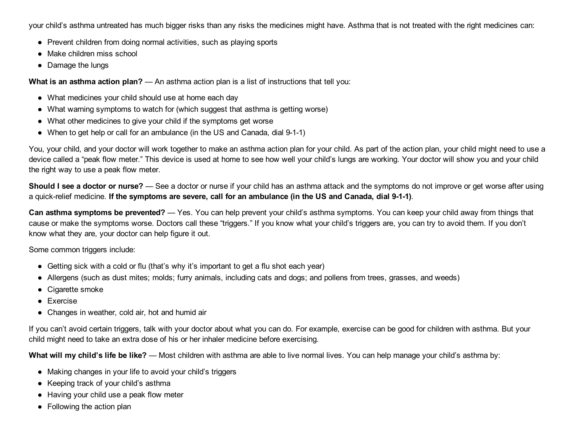your child's asthma untreated has much bigger risks than any risks the medicines might have. Asthma that is not treated with the right medicines can:

- Prevent children from doing normal activities, such as playing sports
- Make children miss school
- Damage the lungs

What is an asthma action plan? — An asthma action plan is a list of instructions that tell you:

- What medicines your child should use at home each day
- What warning symptoms to watch for (which suggest that asthma is getting worse)
- What other medicines to give your child if the symptoms get worse
- When to get help or call for an ambulance (in the US and Canada, dial 9-1-1)

You, your child, and your doctor will work together to make an asthma action plan for your child. As part of the action plan, your child might need to use a device called a "peak flow meter." This device is used at home to see how well your child's lungs are working. Your doctor will show you and your child the right way to use a peak flow meter.

Should I see a doctor or nurse? — See a doctor or nurse if your child has an asthma attack and the symptoms do not improve or get worse after using a quick-relief medicine. If the symptoms are severe, call for an ambulance (in the US and Canada, dial 9-1-1).

Can asthma symptoms be prevented? — Yes. You can help prevent your child's asthma symptoms. You can keep your child away from things that cause or make the symptoms worse. Doctors call these "triggers." If you know what your child's triggers are, you can try to avoid them. If you don't know what they are, your doctor can help figure it out.

Some common triggers include:

- Getting sick with a cold or flu (that's why it's important to get a flu shot each year)
- Allergens (such as dust mites; molds; furry animals, including cats and dogs; and pollens from trees, grasses, and weeds)
- Cigarette smoke
- Exercise
- Changes in weather, cold air, hot and humid air

If you can't avoid certain triggers, talk with your doctor about what you can do. For example, exercise can be good for children with asthma. But your child might need to take an extra dose of his or her inhaler medicine before exercising.

What will my child's life be like? — Most children with asthma are able to live normal lives. You can help manage your child's asthma by:

- Making changes in your life to avoid your child's triggers
- Keeping track of your child's asthma
- Having your child use a peak flow meter
- Following the action plan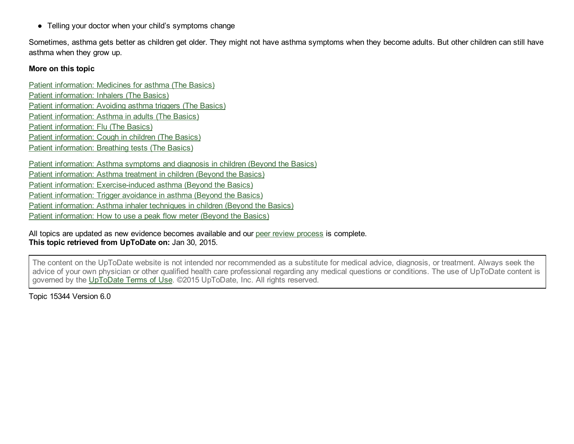• Telling your doctor when your child's symptoms change

Sometimes, asthma gets better as children get older. They might not have asthma symptoms when they become adults. But other children can still have asthma when they grow up.

### More on this topic

Patient [information:](http://www.uptodate.com/contents/medicines-for-asthma-the-basics?source=see_link) Medicines for asthma (The Basics) Patient [information:](http://www.uptodate.com/contents/inhalers-the-basics?source=see_link) Inhalers (The Basics) Patient [information:](http://www.uptodate.com/contents/avoiding-asthma-triggers-the-basics?source=see_link) Avoiding asthma triggers (The Basics) Patient [information:](http://www.uptodate.com/contents/asthma-in-adults-the-basics?source=see_link) Asthma in adults (The Basics) Patient [information:](http://www.uptodate.com/contents/flu-the-basics?source=see_link) Flu (The Basics) Patient [information:](http://www.uptodate.com/contents/cough-in-children-the-basics?source=see_link) Cough in children (The Basics) Patient [information:](http://www.uptodate.com/contents/breathing-tests-the-basics?source=see_link) Breathing tests (The Basics)

Patient [information:](http://www.uptodate.com/contents/asthma-symptoms-and-diagnosis-in-children-beyond-the-basics?source=see_link) Asthma symptoms and diagnosis in children (Beyond the Basics) Patient [information:](http://www.uptodate.com/contents/asthma-treatment-in-children-beyond-the-basics?source=see_link) Asthma treatment in children (Beyond the Basics) Patient information: Exercise-induced asthma (Beyond the Basics) Patient [information:](http://www.uptodate.com/contents/trigger-avoidance-in-asthma-beyond-the-basics?source=see_link) Trigger avoidance in asthma (Beyond the Basics) Patient [information:](http://www.uptodate.com/contents/asthma-inhaler-techniques-in-children-beyond-the-basics?source=see_link) Asthma inhaler techniques in children (Beyond the Basics) Patient [information:](http://www.uptodate.com/contents/how-to-use-a-peak-flow-meter-beyond-the-basics?source=see_link) How to use a peak flow meter (Beyond the Basics)

All topics are updated as new evidence becomes available and our peer review [process](http://www.uptodate.com/home/editorial-policy) is complete. This topic retrieved from UpToDate on: Jan 30, 2015.

The content on the UpToDate website is not intended nor recommended as a substitute for medical advice, diagnosis, or treatment. Always seek the advice of your own physician or other qualified health care professional regarding any medical questions or conditions. The use of UpToDate content is governed by the [UpToDate](http://www.uptodate.com/home/terms-use) Terms of Use. ©2015 UpToDate, Inc. All rights reserved.

Topic 15344 Version 6.0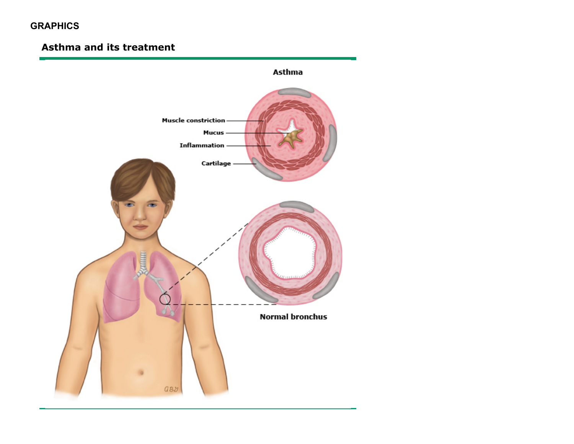# **GRAPHICS**

# Asthma and its treatment